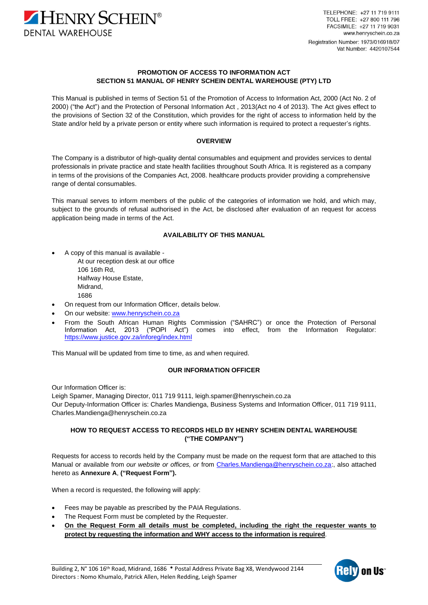

TELEPHONE: +27 11 719 9111 TOLL FREE: +27 800 111 796 FACSIMILE: +27 11 719 9031 www.henryschein.co.za Registration Number: 1973/016918/07 Vat Number: 4420107544

# **PROMOTION OF ACCESS TO INFORMATION ACT SECTION 51 MANUAL OF HENRY SCHEIN DENTAL WAREHOUSE (PTY) LTD**

This Manual is published in terms of Section 51 of the Promotion of Access to Information Act, 2000 (Act No. 2 of 2000) ("the Act") and the Protection of Personal Information Act , 2013(Act no 4 of 2013). The Act gives effect to the provisions of Section 32 of the Constitution, which provides for the right of access to information held by the State and/or held by a private person or entity where such information is required to protect a requester's rights.

# **OVERVIEW**

The Company is a distributor of high-quality dental consumables and equipment and provides services to dental professionals in private practice and state health facilities throughout South Africa. It is registered as a company in terms of the provisions of the Companies Act, 2008. healthcare products provider providing a comprehensive range of dental consumables.

This manual serves to inform members of the public of the categories of information we hold, and which may, subject to the grounds of refusal authorised in the Act, be disclosed after evaluation of an request for access application being made in terms of the Act.

# **AVAILABILITY OF THIS MANUAL**

- A copy of this manual is available At our reception desk at our office 106 16th Rd, Halfway House Estate, Midrand, 1686
- On request from our Information Officer, details below.
- On our website: [www.henryschein.co.za](http://www.henryschein.co.za/)
- From the South African Human Rights Commission ("SAHRC") or once the Protection of Personal Information Act, 2013 ("POPI Act") comes into effect, from the Information Regulator: <https://www.justice.gov.za/inforeg/index.html>

This Manual will be updated from time to time, as and when required.

### **OUR INFORMATION OFFICER**

Our Information Officer is:

Leigh Spamer, Managing Director, 011 719 9111, leigh.spamer@henryschein.co.za Our Deputy-Information Officer is: Charles Mandienga, Business Systems and Information Officer, 011 719 9111, [Charles.Mandienga@henryschein.co.za](mailto:Charles.Mandienga@henryschein.co.za)

# **HOW TO REQUEST ACCESS TO RECORDS HELD BY HENRY SCHEIN DENTAL WAREHOUSE ("THE COMPANY")**

Requests for access to records held by the Company must be made on the request form that are attached to this Manual or available from *our website or offices, or* from [Charles.Mandienga@henryschein.co.za:](mailto:Charles.Mandienga@henryschein.co.za), also attached hereto as **Annexure A**, **("Request Form").**

When a record is requested, the following will apply:

- Fees may be payable as prescribed by the PAIA Regulations.
- The Request Form must be completed by the Requester.
- **On the Request Form all details must be completed, including the right the requester wants to protect by requesting the information and WHY access to the information is required**.

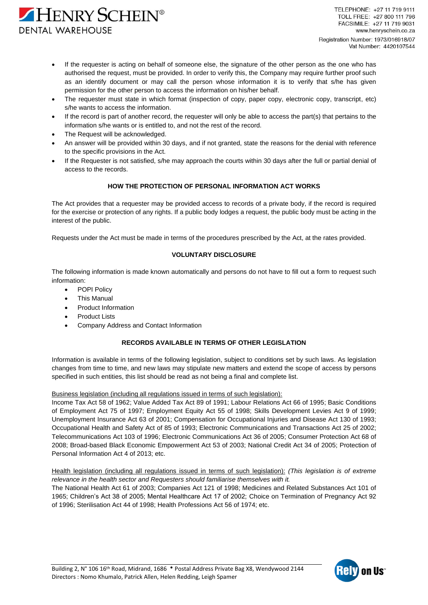

- If the requester is acting on behalf of someone else, the signature of the other person as the one who has authorised the request, must be provided. In order to verify this, the Company may require further proof such as an identify document or may call the person whose information it is to verify that s/he has given permission for the other person to access the information on his/her behalf.
- The requester must state in which format (inspection of copy, paper copy, electronic copy, transcript, etc) s/he wants to access the information.
- If the record is part of another record, the requester will only be able to access the part(s) that pertains to the information s/he wants or is entitled to, and not the rest of the record.
- The Request will be acknowledged.
- An answer will be provided within 30 days, and if not granted, state the reasons for the denial with reference to the specific provisions in the Act.
- If the Requester is not satisfied, s/he may approach the courts within 30 days after the full or partial denial of access to the records.

# **HOW THE PROTECTION OF PERSONAL INFORMATION ACT WORKS**

The Act provides that a requester may be provided access to records of a private body, if the record is required for the exercise or protection of any rights. If a public body lodges a request, the public body must be acting in the interest of the public.

Requests under the Act must be made in terms of the procedures prescribed by the Act, at the rates provided.

# **VOLUNTARY DISCLOSURE**

The following information is made known automatically and persons do not have to fill out a form to request such information:

- POPI Policy
- This Manual
- Product Information
- **Product Lists**
- Company Address and Contact Information

# **RECORDS AVAILABLE IN TERMS OF OTHER LEGISLATION**

Information is available in terms of the following legislation, subject to conditions set by such laws. As legislation changes from time to time, and new laws may stipulate new matters and extend the scope of access by persons specified in such entities, this list should be read as not being a final and complete list.

Business legislation (including all regulations issued in terms of such legislation):

Income Tax Act 58 of 1962; Value Added Tax Act 89 of 1991; Labour Relations Act 66 of 1995; Basic Conditions of Employment Act 75 of 1997; Employment Equity Act 55 of 1998; Skills Development Levies Act 9 of 1999; Unemployment Insurance Act 63 of 2001; Compensation for Occupational Injuries and Disease Act 130 of 1993; Occupational Health and Safety Act of 85 of 1993; Electronic Communications and Transactions Act 25 of 2002; Telecommunications Act 103 of 1996; Electronic Communications Act 36 of 2005; Consumer Protection Act 68 of 2008; Broad-based Black Economic Empowerment Act 53 of 2003; National Credit Act 34 of 2005; Protection of Personal Information Act 4 of 2013; etc.

Health legislation (including all regulations issued in terms of such legislation): *(This legislation is of extreme relevance in the health sector and Requesters should familiarise themselves with it.*

The National Health Act 61 of 2003; Companies Act 121 of 1998; Medicines and Related Substances Act 101 of 1965; Children's Act 38 of 2005; Mental Healthcare Act 17 of 2002; Choice on Termination of Pregnancy Act 92 of 1996; Sterilisation Act 44 of 1998; Health Professions Act 56 of 1974; etc.

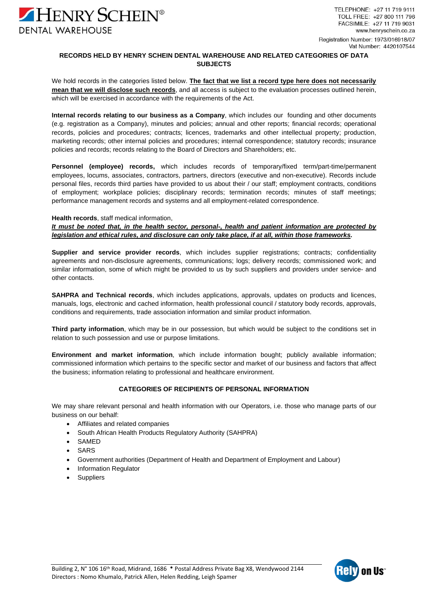

# **RECORDS HELD BY HENRY SCHEIN DENTAL WAREHOUSE AND RELATED CATEGORIES OF DATA SUBJECTS**

We hold records in the categories listed below. **The fact that we list a record type here does not necessarily mean that we will disclose such records**, and all access is subject to the evaluation processes outlined herein, which will be exercised in accordance with the requirements of the Act.

**Internal records relating to our business as a Company**, which includes our founding and other documents (e.g. registration as a Company), minutes and policies; annual and other reports; financial records; operational records, policies and procedures; contracts; licences, trademarks and other intellectual property; production, marketing records; other internal policies and procedures; internal correspondence; statutory records; insurance policies and records; records relating to the Board of Directors and Shareholders; etc.

**Personnel (employee) records,** which includes records of temporary/fixed term/part-time/permanent employees, locums, associates, contractors, partners, directors (executive and non-executive). Records include personal files, records third parties have provided to us about their / our staff; employment contracts, conditions of employment; workplace policies; disciplinary records; termination records; minutes of staff meetings; performance management records and systems and all employment-related correspondence.

## **Health records**, staff medical information,

*It must be noted that, in the health sector, personal-, health and patient information are protected by legislation and ethical rules, and disclosure can only take place, if at all, within those frameworks.*

**Supplier and service provider records**, which includes supplier registrations; contracts; confidentiality agreements and non-disclosure agreements, communications; logs; delivery records; commissioned work; and similar information, some of which might be provided to us by such suppliers and providers under service- and other contacts.

**SAHPRA and Technical records**, which includes applications, approvals, updates on products and licences, manuals, logs, electronic and cached information, health professional council / statutory body records, approvals, conditions and requirements, trade association information and similar product information.

**Third party information**, which may be in our possession, but which would be subject to the conditions set in relation to such possession and use or purpose limitations.

**Environment and market information**, which include information bought; publicly available information; commissioned information which pertains to the specific sector and market of our business and factors that affect the business; information relating to professional and healthcare environment.

# **CATEGORIES OF RECIPIENTS OF PERSONAL INFORMATION**

We may share relevant personal and health information with our Operators, i.e. those who manage parts of our business on our behalf:

- Affiliates and related companies
- South African Health Products Regulatory Authority (SAHPRA)
- SAMED
- **SARS**
- Government authorities (Department of Health and Department of Employment and Labour)
- Information Regulator
- **Suppliers**

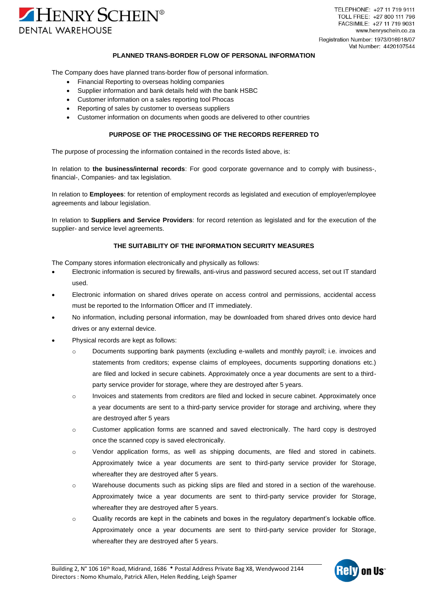

TELEPHONE: +27 11 719 9111 TOLL FREE: +27 800 111 796 FACSIMILE: +27 11 719 9031 www.henryschein.co.za Registration Number: 1973/016918/07 Vat Number: 4420107544

## **PLANNED TRANS-BORDER FLOW OF PERSONAL INFORMATION**

The Company does have planned trans-border flow of personal information.

- Financial Reporting to overseas holding companies
- Supplier information and bank details held with the bank HSBC
- Customer information on a sales reporting tool Phocas
- Reporting of sales by customer to overseas suppliers
- Customer information on documents when goods are delivered to other countries

# **PURPOSE OF THE PROCESSING OF THE RECORDS REFERRED TO**

The purpose of processing the information contained in the records listed above, is:

In relation to **the business/internal records**: For good corporate governance and to comply with business-, financial-, Companies- and tax legislation.

In relation to **Employees**: for retention of employment records as legislated and execution of employer/employee agreements and labour legislation.

In relation to **Suppliers and Service Providers**: for record retention as legislated and for the execution of the supplier- and service level agreements.

## **THE SUITABILITY OF THE INFORMATION SECURITY MEASURES**

The Company stores information electronically and physically as follows:

- Electronic information is secured by firewalls, anti-virus and password secured access, set out IT standard used.
- Electronic information on shared drives operate on access control and permissions, accidental access must be reported to the Information Officer and IT immediately.
- No information, including personal information, may be downloaded from shared drives onto device hard drives or any external device.
- Physical records are kept as follows:
	- o Documents supporting bank payments (excluding e-wallets and monthly payroll; i.e. invoices and statements from creditors; expense claims of employees, documents supporting donations etc.) are filed and locked in secure cabinets. Approximately once a year documents are sent to a thirdparty service provider for storage, where they are destroyed after 5 years.
	- o Invoices and statements from creditors are filed and locked in secure cabinet. Approximately once a year documents are sent to a third-party service provider for storage and archiving, where they are destroyed after 5 years
	- o Customer application forms are scanned and saved electronically. The hard copy is destroyed once the scanned copy is saved electronically.
	- o Vendor application forms, as well as shipping documents, are filed and stored in cabinets. Approximately twice a year documents are sent to third-party service provider for Storage, whereafter they are destroyed after 5 years.
	- o Warehouse documents such as picking slips are filed and stored in a section of the warehouse. Approximately twice a year documents are sent to third-party service provider for Storage, whereafter they are destroyed after 5 years.
	- o Quality records are kept in the cabinets and boxes in the regulatory department's lockable office. Approximately once a year documents are sent to third-party service provider for Storage, whereafter they are destroyed after 5 years.

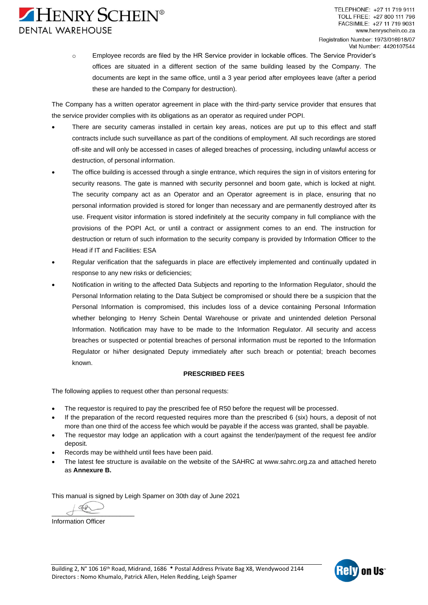

o Employee records are filed by the HR Service provider in lockable offices. The Service Provider's offices are situated in a different section of the same building leased by the Company. The documents are kept in the same office, until a 3 year period after employees leave (after a period these are handed to the Company for destruction).

The Company has a written operator agreement in place with the third-party service provider that ensures that the service provider complies with its obligations as an operator as required under POPI.

- There are security cameras installed in certain key areas, notices are put up to this effect and staff contracts include such surveillance as part of the conditions of employment. All such recordings are stored off-site and will only be accessed in cases of alleged breaches of processing, including unlawful access or destruction, of personal information.
- The office building is accessed through a single entrance, which requires the sign in of visitors entering for security reasons. The gate is manned with security personnel and boom gate, which is locked at night. The security company act as an Operator and an Operator agreement is in place, ensuring that no personal information provided is stored for longer than necessary and are permanently destroyed after its use. Frequent visitor information is stored indefinitely at the security company in full compliance with the provisions of the POPI Act, or until a contract or assignment comes to an end. The instruction for destruction or return of such information to the security company is provided by Information Officer to the Head if IT and Facilities: ESA
- Regular verification that the safeguards in place are effectively implemented and continually updated in response to any new risks or deficiencies;
- Notification in writing to the affected Data Subjects and reporting to the Information Regulator, should the Personal Information relating to the Data Subject be compromised or should there be a suspicion that the Personal Information is compromised, this includes loss of a device containing Personal Information whether belonging to Henry Schein Dental Warehouse or private and unintended deletion Personal Information. Notification may have to be made to the Information Regulator. All security and access breaches or suspected or potential breaches of personal information must be reported to the Information Regulator or hi/her designated Deputy immediately after such breach or potential; breach becomes known.

# **PRESCRIBED FEES**

The following applies to request other than personal requests:

- The requestor is required to pay the prescribed fee of R50 before the request will be processed.
- If the preparation of the record requested requires more than the prescribed 6 (six) hours, a deposit of not more than one third of the access fee which would be payable if the access was granted, shall be payable.
- The requestor may lodge an application with a court against the tender/payment of the request fee and/or deposit.
- Records may be withheld until fees have been paid.
- The latest fee structure is available on the website of the SAHRC at [www.sahrc.org.za](http://www.sahrc.org.za/) and attached hereto as **Annexure B.**

This manual is signed by Leigh Spamer on 30th day of June 2021

 $\overline{\mathcal{A}}$ 

Information Officer

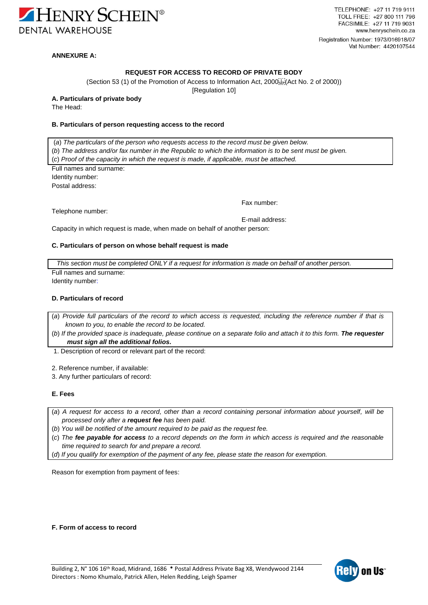

TELEPHONE: +27 11 719 9111 TOLL FREE: +27 800 111 796 FACSIMILE: +27 11 719 9031 www.henryschein.co.za Registration Number: 1973/016918/07 Vat Number: 4420107544

# **ANNEXURE A:**

# **REQUEST FOR ACCESS TO RECORD OF PRIVATE BODY**

[\(Section](http://www.mylexisnexis.co.za/nxt/gateway.dll/jilc/kilc/xjsg/1tsg/3tsg/fwmsb/wxmsb#g1) 53 (1) of the Promotion of Access to Information Act,  $2000_{\text{SER}}^{113}$  (Act [No. 2 of 2000\)](http://www.mylexisnexis.co.za/nxt/gateway.dll/jilc/kilc/xjsg/1tsg/3tsg/fwmsb#g0))

[\[Regulation 10\]](http://www.mylexisnexis.co.za/nxt/gateway.dll/jilc/kilc/xjsg/1tsg/6tsg/6jvsb/7jvsb/kkvsb#g0)

# **A. Particulars of private body**

The Head:

# **B. Particulars of person requesting access to the record**

(*a*) *The particulars of the person who requests access to the record must be given below.*

- (*b*) *The address and/or fax number in the Republic to which the information is to be sent must be given.*
- (*c*) *Proof of the capacity in which the request is made, if applicable, must be attached.*

Full names and surname: Identity number: Postal address:

Telephone number:

Fax number:

E-mail address:

Capacity in which request is made, when made on behalf of another person:

## **C. Particulars of person on whose behalf request is made**

*This section must be completed ONLY if a request for information is made on behalf of another person.* Full names and surname:

Identity number:

## **D. Particulars of record**

(*a*) *Provide full particulars of the record to which access is requested, including the reference number if that is known to you, to enable the record to be located.*

(*b*) *If the provided space is inadequate, please continue on a separate folio and attach it to this form. The requester must sign all the additional folios.*

1. Description of record or relevant part of the record:

2. Reference number, if available:

3. Any further particulars of record:

### **E. Fees**

- (*a*) *A request for access to a record, other than a record containing personal information about yourself, will be processed only after a request fee has been paid.*
- (*b*) *You will be notified of the amount required to be paid as the request fee.*
- (*c*) *The fee payable for access to a record depends on the form in which access is required and the reasonable time required to search for and prepare a record.*

(*d*) *If you qualify for exemption of the payment of any fee, please state the reason for exemption.*

Reason for exemption from payment of fees:

**F. Form of access to record**

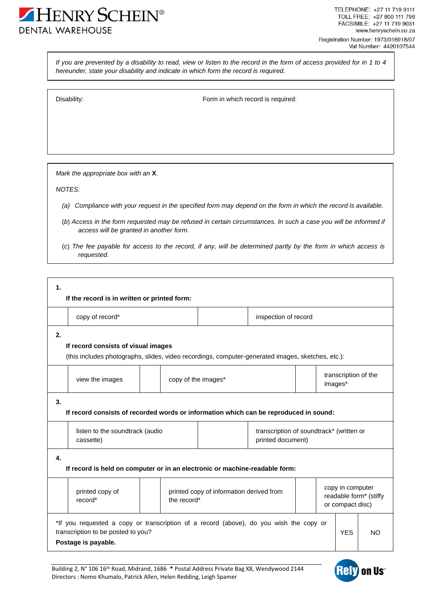

*If you are prevented by a disability to read, view or listen to the record in the form of access provided for in 1 to 4 hereunder, state your disability and indicate in which form the record is required.*

Disability: Disability: **Form** in which record is required:

*Mark the appropriate box with an* **X**.

*NOTES:*

- *(a) Compliance with your request in the specified form may depend on the form in which the record is available.*
- (*b*) *Access in the form requested may be refused in certain circumstances. In such a case you will be informed if access will be granted in another form.*
- (*c*) *The fee payable for access to the record, if any, will be determined partly by the form in which access is requested.*

| $\mathbf{1}$ .<br>If the record is in written or printed form:                                                                                 |                                                                                                                                                                   |             |                                                               |  |                                 |                                                                |  |
|------------------------------------------------------------------------------------------------------------------------------------------------|-------------------------------------------------------------------------------------------------------------------------------------------------------------------|-------------|---------------------------------------------------------------|--|---------------------------------|----------------------------------------------------------------|--|
|                                                                                                                                                | copy of record*                                                                                                                                                   |             | inspection of record                                          |  |                                 |                                                                |  |
| 2.<br>If record consists of visual images<br>(this includes photographs, slides, video recordings, computer-generated images, sketches, etc.): |                                                                                                                                                                   |             |                                                               |  |                                 |                                                                |  |
|                                                                                                                                                | view the images<br>copy of the images*                                                                                                                            |             |                                                               |  | transcription of the<br>images* |                                                                |  |
| 3.<br>If record consists of recorded words or information which can be reproduced in sound:                                                    |                                                                                                                                                                   |             |                                                               |  |                                 |                                                                |  |
|                                                                                                                                                | listen to the soundtrack (audio<br>cassette)                                                                                                                      |             | transcription of soundtrack* (written or<br>printed document) |  |                                 |                                                                |  |
| 4.<br>If record is held on computer or in an electronic or machine-readable form:                                                              |                                                                                                                                                                   |             |                                                               |  |                                 |                                                                |  |
|                                                                                                                                                | printed copy of<br>record*                                                                                                                                        | the record* | printed copy of information derived from                      |  |                                 | copy in computer<br>readable form* (stiffy<br>or compact disc) |  |
|                                                                                                                                                | *If you requested a copy or transcription of a record (above), do you wish the copy or<br>transcription to be posted to you?<br><b>YES</b><br>Postage is payable. |             |                                                               |  |                                 | <b>NO</b>                                                      |  |

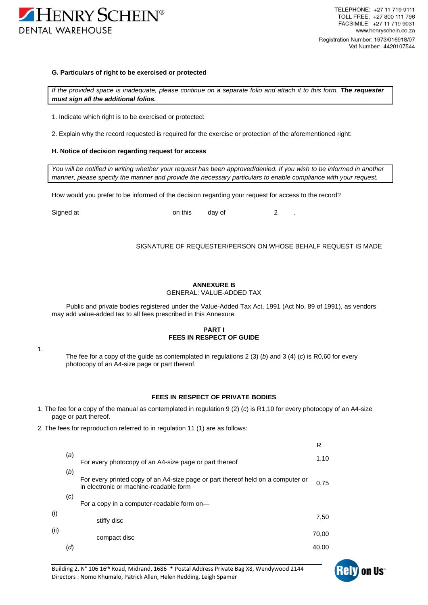

#### **G. Particulars of right to be exercised or protected**

*If the provided space is inadequate, please continue on a separate folio and attach it to this form. The requester must sign all the additional folios.*

1. Indicate which right is to be exercised or protected:

2. Explain why the record requested is required for the exercise or protection of the aforementioned right:

#### **H. Notice of decision regarding request for access**

*You will be notified in writing whether your request has been approved/denied. If you wish to be informed in another manner, please specify the manner and provide the necessary particulars to enable compliance with your request.*

How would you prefer to be informed of the decision regarding your request for access to the record?

Signed at **b** a contribution on this day of the control of the control of the control of the control of the control of the control of the control of the control of the control of the control of the control of the control o

#### SIGNATURE OF REQUESTER/PERSON ON WHOSE BEHALF REQUEST IS MADE

# **ANNEXURE B**

## GENERAL: VALUE-ADDED TAX

Public and private bodies registered under the Value-Added Tax Act, 1991 (Act No. 89 of 1991), as vendors may add value-added tax to all fees prescribed in this Annexure.

### **PART I FEES IN RESPECT OF GUIDE**

1.

The fee for a copy of the guide as contemplated in regulations 2 (3) (*b*) and 3 (4) (*c*) is R0,60 for every photocopy of an A4-size page or part thereof.

# **FEES IN RESPECT OF PRIVATE BODIES**

- 1. The fee for a copy of the manual as contemplated in regulation 9 (2) (*c*) is R1,10 for every photocopy of an A4-size page or part thereof.
- 2. The fees for reproduction referred to in regulation 11 (1) are as follows:

|      |     |                                                                                                                           | R     |
|------|-----|---------------------------------------------------------------------------------------------------------------------------|-------|
|      | (a) | For every photocopy of an A4-size page or part thereof                                                                    | 1,10  |
|      | (b) | For every printed copy of an A4-size page or part thereof held on a computer or<br>in electronic or machine-readable form | 0.75  |
|      | (c) | For a copy in a computer-readable form on-                                                                                |       |
| (i)  |     | stiffy disc                                                                                                               | 7,50  |
| (ii) |     | compact disc                                                                                                              | 70.00 |
|      | (d) |                                                                                                                           | 40.00 |

Building 2, N° 106 16<sup>th</sup> Road, Midrand, 1686 • Postal Address Private Bag X8, Wendywood 2144 Directors : Nomo Khumalo, Patrick Allen, Helen Redding, Leigh Spamer